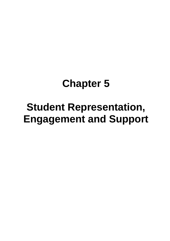# **Chapter 5**

# **Student Representation, Engagement and Support**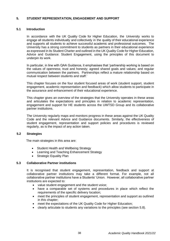# **5. STUDENT REPRESENTATION, ENGAGEMENT AND SUPPORT**

# **5.1 Introduction**

In accordance with the UK Quality Code for Higher Education, the University works to engage all students individually and collectively in the quality of their educational experience and supports all students to achieve successful academic and professional outcomes. The University has a strong commitment to students as partners in their educational experience as expressed in its Student Charter and outlined in the UK Quality Code for Higher Education, Advice and Guidance: Student Engagement, using the principles of this document to underpin its work.

In particular, in line with QAA Guidance, it emphasises that 'partnership working is based on the values of openness; trust and honesty; agreed shared goals and values; and regular communication between the partners. Partnerships reflect a mature relationship based on mutual respect between students and staff.'

This chapter focuses on the four student focused areas of work (student support, student engagement, academic representation and feedback) which allow students to participate in the assurance and enhancement of their educational experience.

This chapter gives an overview of the strategies that the University operates in these areas and articulates the expectations and principles in relation to academic representation, engagement and support for HE students across the UWTSD Group and its collaborative partner institutions.

The University regularly maps and monitors progress in these areas against the UK Quality Code and the relevant Advice and Guidance documents. Similarly, the effectiveness of student engagement, representation and support policies and procedures is reviewed regularly, as is the impact of any action taken.

# **5.2 Strategies**

The main strategies in this area are:

- Student Health and Wellbeing Strategy
- Learning and Teaching Enhancement Strategy
- **Strategic Equality Plan**

# **5.3 Collaborative Partner institutions**

It is recognised that student engagement, representation, feedback and support at collaborative partner institutions may take a different format. For example, not all collaborative partner institutions have a Students' Union. However, all collaborative partner institutions are expected to:

- value student engagement and the student voice;
- have a comparable set of systems and procedures in place which reflect the requirements of the specific delivery location;
- meet the principles of student engagement, representation and support as outlined in this chapter;
- meet the expectations of the UK Quality Code for Higher Education;
- clearly articulate to students any variations to the principles (see section 5.8).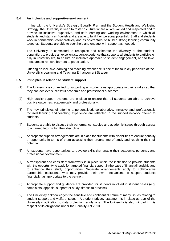# **5.4 An inclusive and supportive environment**

In line with the University's Strategic Equality Plan and the Student Health and Wellbeing Strategy, the University is keen to foster a culture where all are valued and respected and to provide an inclusive, supportive, and safe learning and working environment in which all students and staff can flourish and are able to fulfil their personal potential. Staff and students work in partnership, collaboratively and as co-creators, to build a strong learning community together. Students are able to seek help and engage with support as needed.

The University is committed to recognise and celebrate the diversity of the student population, to provide an excellent student experience that supports all students to participate fully in university life, to ensure an inclusive approach to student engagement, and to take measures to remove barriers to participation.

Offering an inclusive learning and teaching experience is one of the four key principles of the University's Learning and Teaching Enhancement Strategy.

# **5.5 Principles in relation to student support**

- (1) The University is committed to supporting all students as appropriate in their studies so that they can achieve successful academic and professional outcomes.
- (2) High quality support systems are in place to ensure that all students are able to achieve positive outcomes, academically and professionally.
- (3) The key principles of offering a personalised, collaborative, inclusive and professionally focused learning and teaching experience are reflected in the support network offered to students.
- (4) Students are able to discuss their performance, studies and academic issues through access to a named tutor within their discipline.
- (5) Appropriate support arrangements are in place for students with disabilities to ensure equality of opportunity in terms of them accessing their programme of study and reaching their full potential.
- (6) All students have opportunities to develop skills that enable their academic, personal, and professional development.
- (7) A transparent and consistent framework is in place within the institution to provide students with the opportunity to apply for targeted financial support in the case of financial hardship and to enhance their study opportunities. Separate arrangements apply to collaborative partnership institutions, who may provide their own mechanisms to support students financially, as appropriate to the partner.
- (8) Appropriate support and guidance are provided for students involved in student cases (e.g. complaints, appeals, support for study, fitness to practise).
- (9) The University acknowledges the sensitive and confidential nature of many issues relating to student support and welfare issues. A student privacy statement is in place as part of the University's obligation to data protection regulations. The University is also mindful in this respect of its obligations under the Equality Act 2010.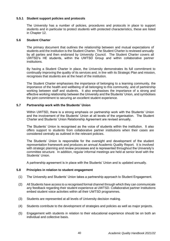## **5.5.1 Student support policies and protocols**

The University has a number of policies, procedures and protocols in place to support students and in particular to protect students with protected characteristics, these are listed in Chapter 12.

## **5.6 Student Charter**

The primary document that outlines the relationship between and mutual expectations of students and the institution is the Student Charter. The Student Charter is reviewed annually by all parties and then endorsed by University Council. The Student Charter covers all UWTSD's HE students, within the UWTSD Group and within collaborative partner institutions.

By having a Student Charter in place, the University demonstrates its full commitment to continually improving the quality of its services and, in line with its Strategic Plan and mission, recognises that students are at the heart of the institution.

The Student Charter emphasises the importance of belonging to a learning community, the importance of the health and wellbeing of all belonging to this community, and of partnership working between staff and students. It also emphasises the importance of a strong and effective working relationship between the University and the Students' Union, and symbolises the joint commitment to securing an excellent student experience.

# **5.7 Partnership work with the Students' Union**

Within UWTSD, there is a strong emphasis on partnership work with the Students' Union and the involvement of the Students' Union at all levels of the organisation. The Student Charter and Students' Union Relationship Agreement are revised annually.

The Students' Union is recognised as the voice of students within the institution. It also offers support to students from collaborative partner institutions when their cases are considered centrally as outlined in the relevant policies.

The Students' Union is responsible for the oversight and development of the student representation framework and produces an annual Academic Quality Report. It is involved with strategic planning and review processes and is represented throughout the University's committee structure. In addition, regular informal meetings are held at senior level with the Students' Union.

A partnership agreement is in place with the Students' Union and is updated annually.

## **5.8 Principles in relation to student engagement**

- (1) The University and Students' Union takes a partnership approach to Student Engagement.
- (2) All Students have access to a recognised formal channel through which they can communicate any feedback regarding their student experience at UWTSD. Collaborative partner institutions embed student voice activities within all their UWTSD programmes.
- (3) Students are represented at all levels of University decision making.
- (4) Students contribute to the development of strategies and policies as well as major projects.
- (5) Engagement with students in relation to their educational experience should be on both an individual and collective basis.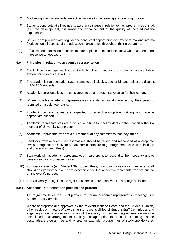- (6) Staff recognise that students are active partners in the learning and teaching process.
- (7) Students contribute at all key quality assurance stages in relation to their programmes of study (e.g. the development, assurance and enhancement of the quality of their educational experience).
- (8) Students are provided with regular and consistent opportunities to provide formal and informal feedback on all aspects of the educational experience throughout their programme.
- (9) Effective communication mechanisms are in place to let students know what has been done in response to feedback.

## **5.9 Principles in relation to academic representation**

- (1) The University recognises that the Students' Union manages the academic representation system for students at UWTSD.
- (2) The academic representation system aims to be inclusive, accessible and reflect the diversity of UWTSD students.
- (3) Academic representatives are considered to be a representative voice for their cohort.
- (4) Where possible academic representatives are democratically elected by their peers or recruited on a volunteer basis.
- (5) Academic representatives are expected to attend appropriate training and receive appropriate support.
- (6) Academic representatives are provided with time to meet students in their cohort without a member of University staff present.
- (7) Academic Representatives are a full member of any committees that they attend.
- (8) Feedback from academic representatives should be raised and responded at appropriate levels throughout the University's academic structure (e.g. programme, discipline, institute and university committees).
- (9) Staff work with academic representatives in partnership to respond to their feedback and to develop solutions to matters raised.
- (10) For specific events (e.g. Student Staff Committees, monitoring or validation meetings), staff should ensure that the events are accessible and that academic representatives are briefed on the event's purpose.
- (11) The University recognises the right of academic representatives to campaign on issues.

## **5.9.1 Academic Representation policies and protocols**

At programme level, the usual platform for formal academic representation meetings is a Student Staff Committee.

Where appropriate and approved by the relevant Institute Board and the Students' Union, other equivalent means of exercising the responsibilities of Student Staff Committees and engaging students in discussions about the quality of their learning experience may be established. Such arrangements are likely to be appropriate for discussions relating to some postgraduate programmes and where, for example, programmes of study are delivered